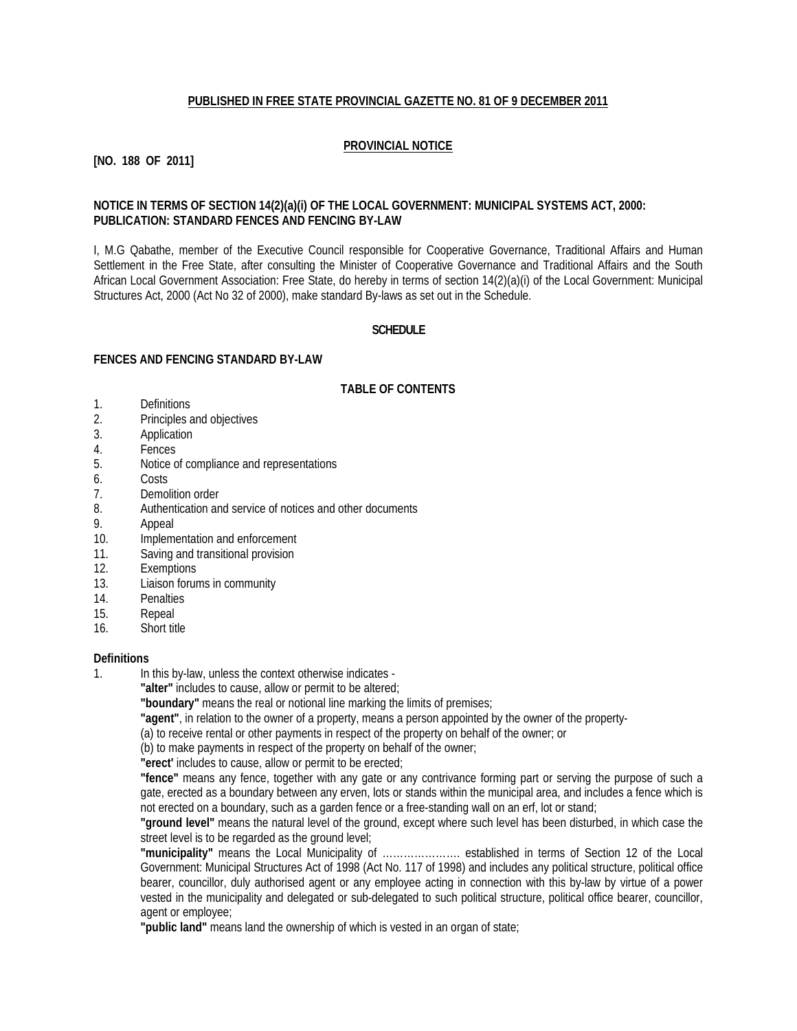## **PUBLISHED IN FREE STATE PROVINCIAL GAZETTE NO. 81 OF 9 DECEMBER 2011**

## **PROVINCIAL NOTICE**

**[NO. 188 OF 2011]**

### **NOTICE IN TERMS OF SECTION 14(2)(a)(i) OF THE LOCAL GOVERNMENT: MUNICIPAL SYSTEMS ACT, 2000: PUBLICATION: STANDARD FENCES AND FENCING BY-LAW**

I, M.G Qabathe, member of the Executive Council responsible for Cooperative Governance, Traditional Affairs and Human Settlement in the Free State, after consulting the Minister of Cooperative Governance and Traditional Affairs and the South African Local Government Association: Free State, do hereby in terms of section 14(2)(a)(i) of the Local Government: Municipal Structures Act, 2000 (Act No 32 of 2000), make standard By-laws as set out in the Schedule.

### **SCHEDULE**

#### **FENCES AND FENCING STANDARD BY-LAW**

#### **TABLE OF CONTENTS**

- 1. Definitions
- 2. Principles and objectives
- 3. Application
- 4. Fences
- 5. Notice of compliance and representations
- 6. Costs
- 7. Demolition order
- 8. Authentication and service of notices and other documents
- 9. Appeal
- 10. Implementation and enforcement
- 11. Saving and transitional provision
- 12. Exemptions<br>13 Liaison forum
- Liaison forums in community
- 14. Penalties
- 15. Repeal
- 16. Short title

# **Definitions**

1. In this by-law, unless the context otherwise indicates -

**"alter"** includes to cause, allow or permit to be altered;

**"boundary"** means the real or notional line marking the limits of premises;

**"agent"**, in relation to the owner of a property, means a person appointed by the owner of the property-

(a) to receive rental or other payments in respect of the property on behalf of the owner; or

(b) to make payments in respect of the property on behalf of the owner;

**"erect'** includes to cause, allow or permit to be erected;

**"fence"** means any fence, together with any gate or any contrivance forming part or serving the purpose of such a gate, erected as a boundary between any erven, lots or stands within the municipal area, and includes a fence which is not erected on a boundary, such as a garden fence or a free-standing wall on an erf, lot or stand;

**"ground level"** means the natural level of the ground, except where such level has been disturbed, in which case the street level is to be regarded as the ground level;

**"municipality"** means the Local Municipality of …………………. established in terms of Section 12 of the Local Government: Municipal Structures Act of 1998 (Act No. 117 of 1998) and includes any political structure, political office bearer, councillor, duly authorised agent or any employee acting in connection with this by-law by virtue of a power vested in the municipality and delegated or sub-delegated to such political structure, political office bearer, councillor, agent or employee;

**"public land"** means land the ownership of which is vested in an organ of state;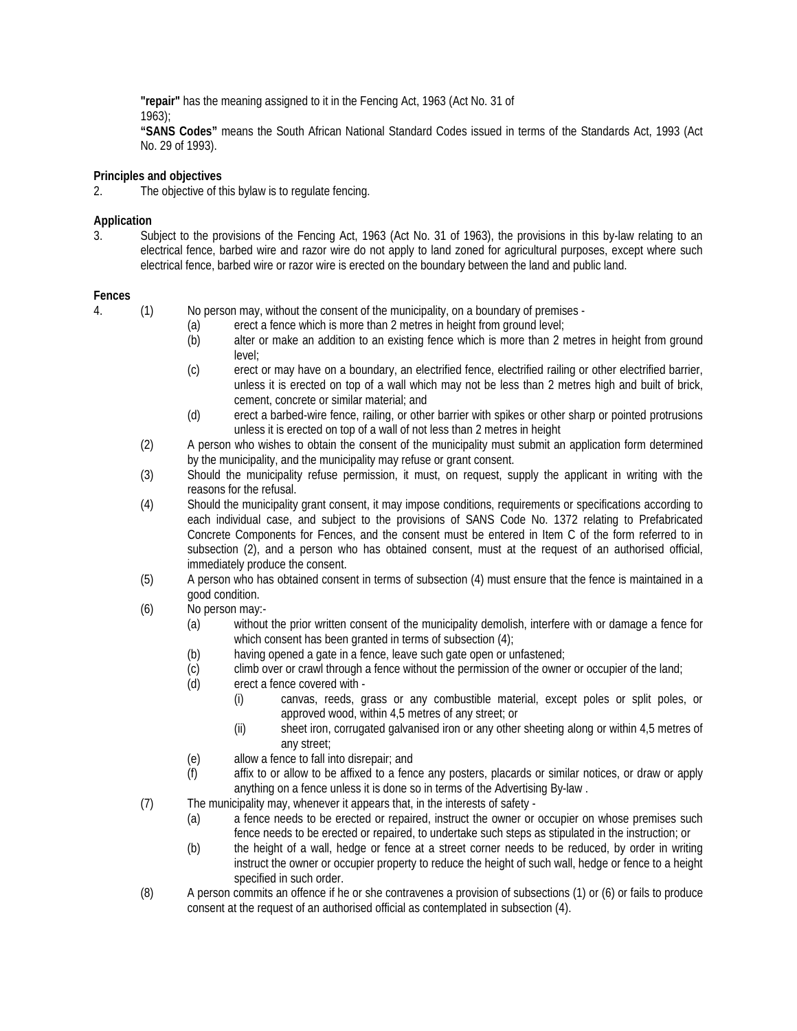**"repair"** has the meaning assigned to it in the Fencing Act, 1963 (Act No. 31 of

1963);

**"SANS Codes"** means the South African National Standard Codes issued in terms of the Standards Act, 1993 (Act No. 29 of 1993).

**Principles and objectives**

2. The objective of this bylaw is to regulate fencing.

# **Application**

3. Subject to the provisions of the Fencing Act, 1963 (Act No. 31 of 1963), the provisions in this by-law relating to an electrical fence, barbed wire and razor wire do not apply to land zoned for agricultural purposes, except where such electrical fence, barbed wire or razor wire is erected on the boundary between the land and public land.

## **Fences**

- 4. (1) No person may, without the consent of the municipality, on a boundary of premises
	- (a) erect a fence which is more than 2 metres in height from ground level;
	- (b) alter or make an addition to an existing fence which is more than 2 metres in height from ground level;
	- (c) erect or may have on a boundary, an electrified fence, electrified railing or other electrified barrier, unless it is erected on top of a wall which may not be less than 2 metres high and built of brick, cement, concrete or similar material; and
	- (d) erect a barbed-wire fence, railing, or other barrier with spikes or other sharp or pointed protrusions unless it is erected on top of a wall of not less than 2 metres in height
	- (2) A person who wishes to obtain the consent of the municipality must submit an application form determined by the municipality, and the municipality may refuse or grant consent.
	- (3) Should the municipality refuse permission, it must, on request, supply the applicant in writing with the reasons for the refusal.
	- (4) Should the municipality grant consent, it may impose conditions, requirements or specifications according to each individual case, and subject to the provisions of SANS Code No. 1372 relating to Prefabricated Concrete Components for Fences, and the consent must be entered in Item C of the form referred to in subsection (2), and a person who has obtained consent, must at the request of an authorised official, immediately produce the consent.
	- (5) A person who has obtained consent in terms of subsection (4) must ensure that the fence is maintained in a good condition.
	- (6) No person may:-
		- (a) without the prior written consent of the municipality demolish, interfere with or damage a fence for which consent has been granted in terms of subsection (4);
		- (b) having opened a gate in a fence, leave such gate open or unfastened;
		- (c) climb over or crawl through a fence without the permission of the owner or occupier of the land;
		- (d) erect a fence covered with
			- (i) canvas, reeds, grass or any combustible material, except poles or split poles, or approved wood, within 4,5 metres of any street; or
			- (ii) sheet iron, corrugated galvanised iron or any other sheeting along or within 4,5 metres of any street;
		- (e) allow a fence to fall into disrepair; and
		- (f) affix to or allow to be affixed to a fence any posters, placards or similar notices, or draw or apply anything on a fence unless it is done so in terms of the Advertising By-law .
	- (7) The municipality may, whenever it appears that, in the interests of safety
		- (a) a fence needs to be erected or repaired, instruct the owner or occupier on whose premises such fence needs to be erected or repaired, to undertake such steps as stipulated in the instruction; or
		- (b) the height of a wall, hedge or fence at a street corner needs to be reduced, by order in writing instruct the owner or occupier property to reduce the height of such wall, hedge or fence to a height specified in such order.
	- (8) A person commits an offence if he or she contravenes a provision of subsections (1) or (6) or fails to produce consent at the request of an authorised official as contemplated in subsection (4).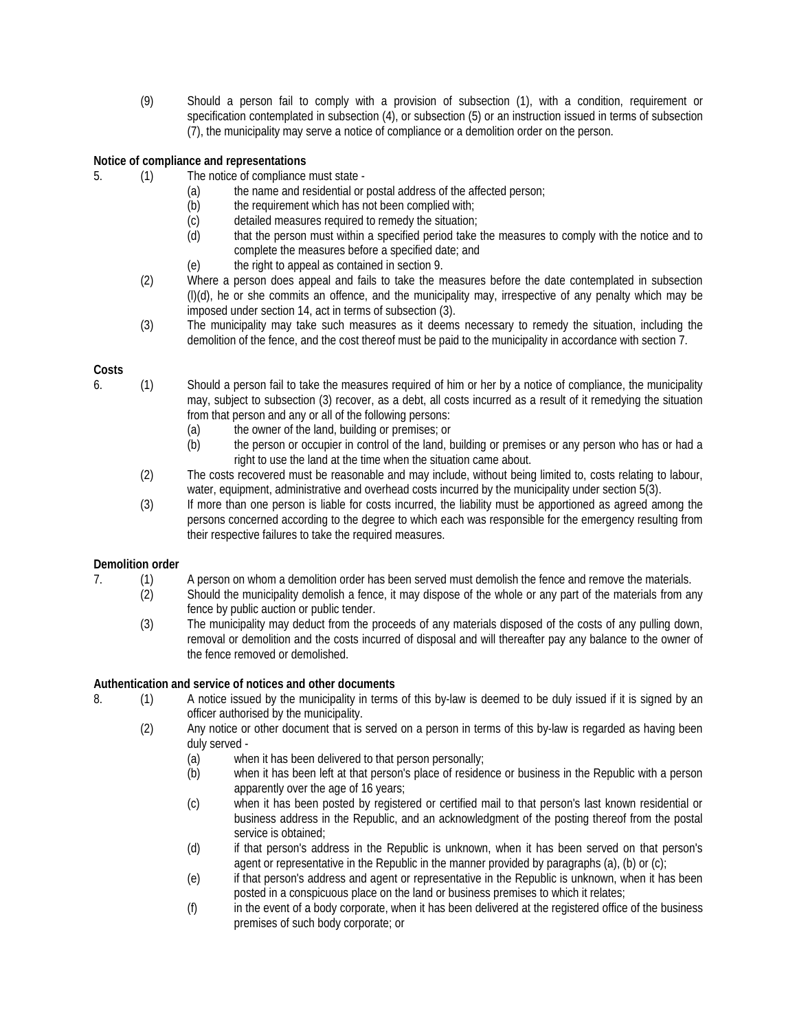(9) Should a person fail to comply with a provision of subsection (1), with a condition, requirement or specification contemplated in subsection (4), or subsection (5) or an instruction issued in terms of subsection (7), the municipality may serve a notice of compliance or a demolition order on the person.

# **Notice of compliance and representations**

- 5. (1) The notice of compliance must state
	- (a) the name and residential or postal address of the affected person;
	- (b) the requirement which has not been complied with;
	- (c) detailed measures required to remedy the situation;<br>(d) that the person must within a specified period take
	- that the person must within a specified period take the measures to comply with the notice and to complete the measures before a specified date; and
	- (e) the right to appeal as contained in section 9.
	- (2) Where a person does appeal and fails to take the measures before the date contemplated in subsection (l)(d), he or she commits an offence, and the municipality may, irrespective of any penalty which may be imposed under section 14, act in terms of subsection (3).
	- (3) The municipality may take such measures as it deems necessary to remedy the situation, including the demolition of the fence, and the cost thereof must be paid to the municipality in accordance with section 7.

### **Costs**

- 6. (1) Should a person fail to take the measures required of him or her by a notice of compliance, the municipality may, subject to subsection (3) recover, as a debt, all costs incurred as a result of it remedying the situation from that person and any or all of the following persons:
	- (a) the owner of the land, building or premises; or<br>(b) the person or occupier in control of the land, b
	- the person or occupier in control of the land, building or premises or any person who has or had a right to use the land at the time when the situation came about.
	- (2) The costs recovered must be reasonable and may include, without being limited to, costs relating to labour, water, equipment, administrative and overhead costs incurred by the municipality under section 5(3).
	- (3) If more than one person is liable for costs incurred, the liability must be apportioned as agreed among the persons concerned according to the degree to which each was responsible for the emergency resulting from their respective failures to take the required measures.

### **Demolition order**

- 7. (1) A person on whom a demolition order has been served must demolish the fence and remove the materials.
	- (2) Should the municipality demolish a fence, it may dispose of the whole or any part of the materials from any fence by public auction or public tender.
	- (3) The municipality may deduct from the proceeds of any materials disposed of the costs of any pulling down, removal or demolition and the costs incurred of disposal and will thereafter pay any balance to the owner of the fence removed or demolished.

### **Authentication and service of notices and other documents**

- 8. (1) A notice issued by the municipality in terms of this by-law is deemed to be duly issued if it is signed by an officer authorised by the municipality.
	- (2) Any notice or other document that is served on a person in terms of this by-law is regarded as having been duly served -
		- (a) when it has been delivered to that person personally;
		- (b) when it has been left at that person's place of residence or business in the Republic with a person apparently over the age of 16 years;
		- (c) when it has been posted by registered or certified mail to that person's last known residential or business address in the Republic, and an acknowledgment of the posting thereof from the postal service is obtained:
		- (d) if that person's address in the Republic is unknown, when it has been served on that person's agent or representative in the Republic in the manner provided by paragraphs (a), (b) or  $(c)$ ;
		- (e) if that person's address and agent or representative in the Republic is unknown, when it has been posted in a conspicuous place on the land or business premises to which it relates;
		- (f) in the event of a body corporate, when it has been delivered at the registered office of the business premises of such body corporate; or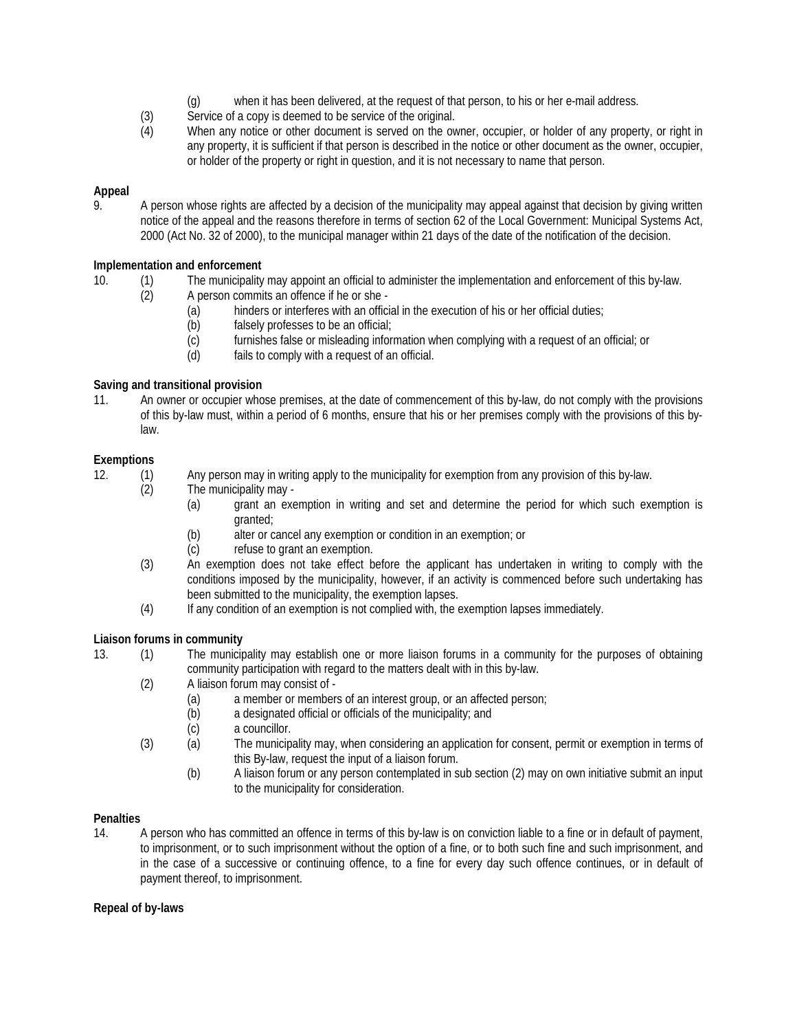- (g) when it has been delivered, at the request of that person, to his or her e-mail address.
- (3) Service of a copy is deemed to be service of the original.
- (4) When any notice or other document is served on the owner, occupier, or holder of any property, or right in any property, it is sufficient if that person is described in the notice or other document as the owner, occupier, or holder of the property or right in question, and it is not necessary to name that person.

# **Appeal**

9. A person whose rights are affected by a decision of the municipality may appeal against that decision by giving written notice of the appeal and the reasons therefore in terms of section 62 of the Local Government: Municipal Systems Act, 2000 (Act No. 32 of 2000), to the municipal manager within 21 days of the date of the notification of the decision.

## **Implementation and enforcement**

- 10. (1) The municipality may appoint an official to administer the implementation and enforcement of this by-law.<br>(2) A person commits an offence if he or she -
	- A person commits an offence if he or she -
		- (a) hinders or interferes with an official in the execution of his or her official duties;
		- (b) falsely professes to be an official;
		- (c) furnishes false or misleading information when complying with a request of an official; or
		- (d) fails to comply with a request of an official.

## **Saving and transitional provision**

11. An owner or occupier whose premises, at the date of commencement of this by-law, do not comply with the provisions of this by-law must, within a period of 6 months, ensure that his or her premises comply with the provisions of this bylaw.

## **Exemptions**

- 12. (1) Any person may in writing apply to the municipality for exemption from any provision of this by-law.
	- (2) The municipality may
		- (a) grant an exemption in writing and set and determine the period for which such exemption is granted;
		- (b) alter or cancel any exemption or condition in an exemption; or
		- (c) refuse to grant an exemption.
	- (3) An exemption does not take effect before the applicant has undertaken in writing to comply with the conditions imposed by the municipality, however, if an activity is commenced before such undertaking has been submitted to the municipality, the exemption lapses.
	- (4) If any condition of an exemption is not complied with, the exemption lapses immediately.

### **Liaison forums in community**

- 13. (1) The municipality may establish one or more liaison forums in a community for the purposes of obtaining community participation with regard to the matters dealt with in this by-law.
	- (2) A liaison forum may consist of
		- (a) a member or members of an interest group, or an affected person;
		- (b) a designated official or officials of the municipality; and
		- (c) a councillor.
	- (3) (a) The municipality may, when considering an application for consent, permit or exemption in terms of this By-law, request the input of a liaison forum.
		- (b) A liaison forum or any person contemplated in sub section (2) may on own initiative submit an input to the municipality for consideration.

### **Penalties**

14. A person who has committed an offence in terms of this by-law is on conviction liable to a fine or in default of payment, to imprisonment, or to such imprisonment without the option of a fine, or to both such fine and such imprisonment, and in the case of a successive or continuing offence, to a fine for every day such offence continues, or in default of payment thereof, to imprisonment.

### **Repeal of by-laws**